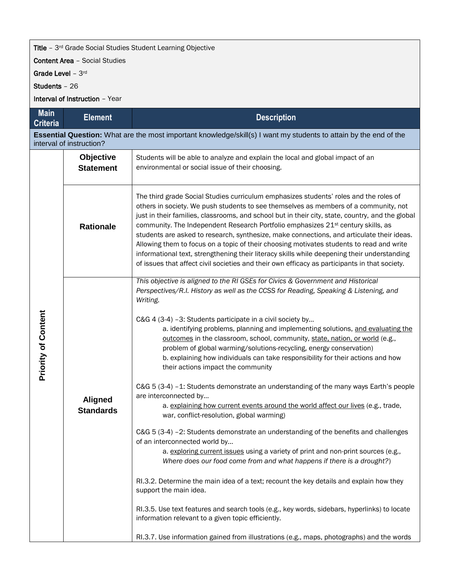## Title - 3<sup>rd</sup> Grade Social Studies Student Learning Objective

Content Area – Social Studies

Grade Level - 3rd

Students – 26

Interval of Instruction – Year

| <b>Main</b><br><b>Criteria</b>                                                                                                                | <b>Element</b>                       | <b>Description</b>                                                                                                                                                                                                                                                                                                                                                                                                                                                                                                                                                                                                                                                                                                                                                                                                                                                                                                                                                                                                                                                                                                                                                                                                                                                                                                                                                                                                                                                                                                                       |  |  |  |
|-----------------------------------------------------------------------------------------------------------------------------------------------|--------------------------------------|------------------------------------------------------------------------------------------------------------------------------------------------------------------------------------------------------------------------------------------------------------------------------------------------------------------------------------------------------------------------------------------------------------------------------------------------------------------------------------------------------------------------------------------------------------------------------------------------------------------------------------------------------------------------------------------------------------------------------------------------------------------------------------------------------------------------------------------------------------------------------------------------------------------------------------------------------------------------------------------------------------------------------------------------------------------------------------------------------------------------------------------------------------------------------------------------------------------------------------------------------------------------------------------------------------------------------------------------------------------------------------------------------------------------------------------------------------------------------------------------------------------------------------------|--|--|--|
| Essential Question: What are the most important knowledge/skill(s) I want my students to attain by the end of the<br>interval of instruction? |                                      |                                                                                                                                                                                                                                                                                                                                                                                                                                                                                                                                                                                                                                                                                                                                                                                                                                                                                                                                                                                                                                                                                                                                                                                                                                                                                                                                                                                                                                                                                                                                          |  |  |  |
| <b>Priority of Content</b>                                                                                                                    | <b>Objective</b><br><b>Statement</b> | Students will be able to analyze and explain the local and global impact of an<br>environmental or social issue of their choosing.                                                                                                                                                                                                                                                                                                                                                                                                                                                                                                                                                                                                                                                                                                                                                                                                                                                                                                                                                                                                                                                                                                                                                                                                                                                                                                                                                                                                       |  |  |  |
|                                                                                                                                               | <b>Rationale</b>                     | The third grade Social Studies curriculum emphasizes students' roles and the roles of<br>others in society. We push students to see themselves as members of a community, not<br>just in their families, classrooms, and school but in their city, state, country, and the global<br>community. The Independent Research Portfolio emphasizes 21 <sup>st</sup> century skills, as<br>students are asked to research, synthesize, make connections, and articulate their ideas.<br>Allowing them to focus on a topic of their choosing motivates students to read and write<br>informational text, strengthening their literacy skills while deepening their understanding<br>of issues that affect civil societies and their own efficacy as participants in that society.                                                                                                                                                                                                                                                                                                                                                                                                                                                                                                                                                                                                                                                                                                                                                               |  |  |  |
|                                                                                                                                               | <b>Aligned</b><br><b>Standards</b>   | This objective is aligned to the RI GSEs for Civics & Government and Historical<br>Perspectives/R.I. History as well as the CCSS for Reading, Speaking & Listening, and<br>Writing.<br>C&G 4 (3-4) -3: Students participate in a civil society by<br>a. identifying problems, planning and implementing solutions, and evaluating the<br>outcomes in the classroom, school, community, state, nation, or world (e.g.,<br>problem of global warming/solutions-recycling, energy conservation)<br>b. explaining how individuals can take responsibility for their actions and how<br>their actions impact the community<br>C&G 5 (3-4) -1: Students demonstrate an understanding of the many ways Earth's people<br>are interconnected by<br>a. explaining how current events around the world affect our lives (e.g., trade,<br>war, conflict-resolution, global warming)<br>C&G 5 (3-4) -2: Students demonstrate an understanding of the benefits and challenges<br>of an interconnected world by<br>a. exploring current issues using a variety of print and non-print sources (e.g.,<br>Where does our food come from and what happens if there is a drought?)<br>RI.3.2. Determine the main idea of a text; recount the key details and explain how they<br>support the main idea.<br>RI.3.5. Use text features and search tools (e.g., key words, sidebars, hyperlinks) to locate<br>information relevant to a given topic efficiently.<br>RI.3.7. Use information gained from illustrations (e.g., maps, photographs) and the words |  |  |  |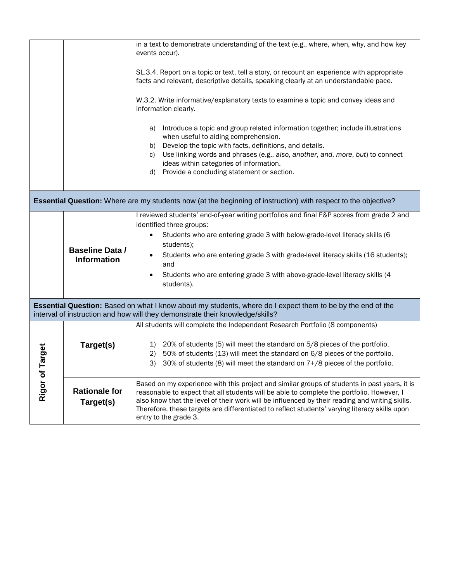|                                                                                                                                                                                             |                                       | in a text to demonstrate understanding of the text (e.g., where, when, why, and how key<br>events occur).                                                                                                                                                                                                                                                                                                                |  |  |
|---------------------------------------------------------------------------------------------------------------------------------------------------------------------------------------------|---------------------------------------|--------------------------------------------------------------------------------------------------------------------------------------------------------------------------------------------------------------------------------------------------------------------------------------------------------------------------------------------------------------------------------------------------------------------------|--|--|
|                                                                                                                                                                                             |                                       | SL.3.4. Report on a topic or text, tell a story, or recount an experience with appropriate<br>facts and relevant, descriptive details, speaking clearly at an understandable pace.                                                                                                                                                                                                                                       |  |  |
|                                                                                                                                                                                             |                                       | W.3.2. Write informative/explanatory texts to examine a topic and convey ideas and<br>information clearly.                                                                                                                                                                                                                                                                                                               |  |  |
|                                                                                                                                                                                             |                                       | a) Introduce a topic and group related information together; include illustrations<br>when useful to aiding comprehension.<br>b) Develop the topic with facts, definitions, and details.<br>Use linking words and phrases (e.g., also, another, and, more, but) to connect<br>C)<br>ideas within categories of information.<br>d) Provide a concluding statement or section.                                             |  |  |
| <b>Essential Question:</b> Where are my students now (at the beginning of instruction) with respect to the objective?                                                                       |                                       |                                                                                                                                                                                                                                                                                                                                                                                                                          |  |  |
|                                                                                                                                                                                             | <b>Baseline Data /</b><br>Information | I reviewed students' end-of-year writing portfolios and final F&P scores from grade 2 and<br>identified three groups:<br>Students who are entering grade 3 with below-grade-level literacy skills (6<br>students);<br>Students who are entering grade 3 with grade-level literacy skills (16 students);<br>$\bullet$<br>and<br>Students who are entering grade 3 with above-grade-level literacy skills (4<br>students). |  |  |
| Essential Question: Based on what I know about my students, where do I expect them to be by the end of the<br>interval of instruction and how will they demonstrate their knowledge/skills? |                                       |                                                                                                                                                                                                                                                                                                                                                                                                                          |  |  |
| Target<br>Rigor of                                                                                                                                                                          | Target(s)                             | All students will complete the Independent Research Portfolio (8 components)<br>20% of students (5) will meet the standard on 5/8 pieces of the portfolio.<br>1)<br>2) 50% of students (13) will meet the standard on 6/8 pieces of the portfolio.<br>30% of students (8) will meet the standard on 7+/8 pieces of the portfolio.<br>3)                                                                                  |  |  |
|                                                                                                                                                                                             | <b>Rationale for</b><br>Target(s)     | Based on my experience with this project and similar groups of students in past years, it is<br>reasonable to expect that all students will be able to complete the portfolio. However, I<br>also know that the level of their work will be influenced by their reading and writing skills.<br>Therefore, these targets are differentiated to reflect students' varying literacy skills upon<br>entry to the grade 3.    |  |  |